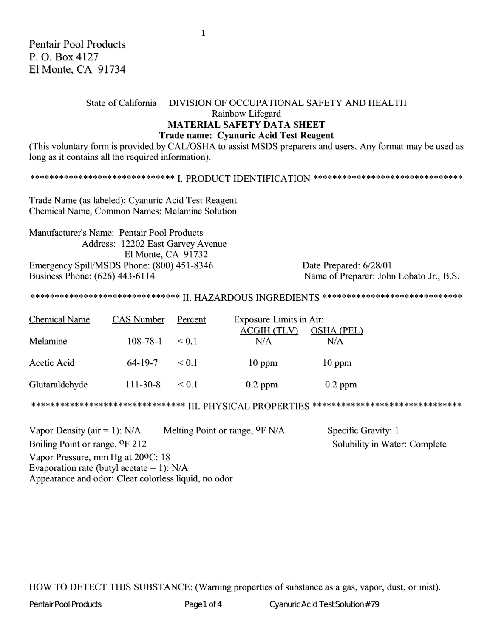## State of California DIVISION OF OCCUPATIONAL SAFETY AND HEALTH Rainbow Lifegard **MATERIAL SAFETY DATA SHEET Trade name: Cyanuric Acid Test Reagent**

(This voluntary form is provided by CAL/OSHA to assist MSDS preparers and users. Any format may be used as long as it contains all the required information).

Trade Name (as labeled): Cyanuric Acid Test Reagent Chemical Name, Common Names: Melamine Solution

Manufacturer's Name: Pentair Pool Products Address: 12202 East Garvey Avenue El Monte, CA 91732 Emergency Spill/MSDS Phone: (800) 451-8346 Business Phone: (626) 443-6114

Date Prepared: 6/28/01 Name of Preparer: John Lobato Jr., B.S.

\*\*\*\*\*\*\*\*\*\*\*\*\*\*\*\*\*\*\*\*\*\*\*\*\*\*\*\*\*\*\* IL HAZARDOUS INGREDIENTS \*\*\*\*\*\*\*\*\*\*\*\*\*\*\*\*\*\*\*\*\*\*\*\*\*\*\*\*\*

| <b>Chemical Name</b> | <b>CAS Number</b> | Percent    | <b>Exposure Limits in Air:</b> |                          |
|----------------------|-------------------|------------|--------------------------------|--------------------------|
| Melamine             | $108 - 78 - 1$    | $\leq 0.1$ | <b>ACGIH (TLV)</b><br>N/A      | <b>OSHA (PEL)</b><br>N/A |
| Acetic Acid          | $64 - 19 - 7$     | $\leq 0.1$ | $10$ ppm                       | $10$ ppm                 |
| Glutaraldehyde       | $111 - 30 - 8$    | $\leq 0.1$ | $0.2$ ppm                      | $0.2$ ppm                |

Melting Point or range, <sup>O</sup>F N/A Vapor Density ( $air = 1$ ): N/A Specific Gravity: 1 Solubility in Water: Complete Boiling Point or range, <sup>O</sup>F 212 Vapor Pressure, mm Hg at 200C; 18 Evaporation rate (butyl acetate = 1):  $N/A$ Appearance and odor: Clear colorless liquid, no odor

HOW TO DETECT THIS SUBSTANCE: (Warning properties of substance as a gas, vapor, dust, or mist).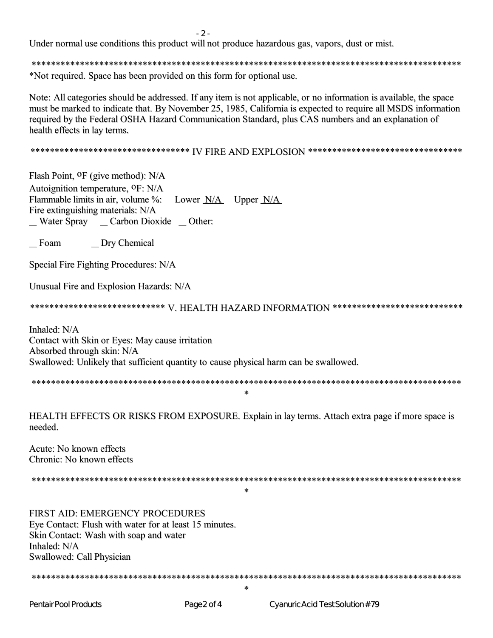$-2-$ 

Under normal use conditions this product will not produce hazardous gas, vapors, dust or mist.

\*Not required. Space has been provided on this form for optional use.

Note: All categories should be addressed. If any item is not applicable, or no information is available, the space must be marked to indicate that. By November 25, 1985, California is expected to require all MSDS information required by the Federal OSHA Hazard Communication Standard, plus CAS numbers and an explanation of health effects in lay terms.

Flash Point, <sup>O</sup>F (give method): N/A Autoignition temperature, <sup>O</sup>F: N/A Flammable limits in air, volume %: Lower  $N/A$  Upper  $N/A$ Fire extinguishing materials: N/A \_ Water Spray \_ \_ Carbon Dioxide \_ Other:

\_ Foam \_ Dry Chemical

Special Fire Fighting Procedures: N/A

Unusual Fire and Explosion Hazards: N/A

Inhaled: N/A Contact with Skin or Eyes: May cause irritation Absorbed through skin: N/A Swallowed: Unlikely that sufficient quantity to cause physical harm can be swallowed.

 $\ast$ 

HEALTH EFFECTS OR RISKS FROM EXPOSURE. Explain in lay terms. Attach extra page if more space is needed

Acute: No known effects Chronic: No known effects

 $\star$ 

FIRST AID: EMERGENCY PROCEDURES Eve Contact: Flush with water for at least 15 minutes. Skin Contact: Wash with soap and water Inhaled: N/A Swallowed: Call Physician

 $\ast$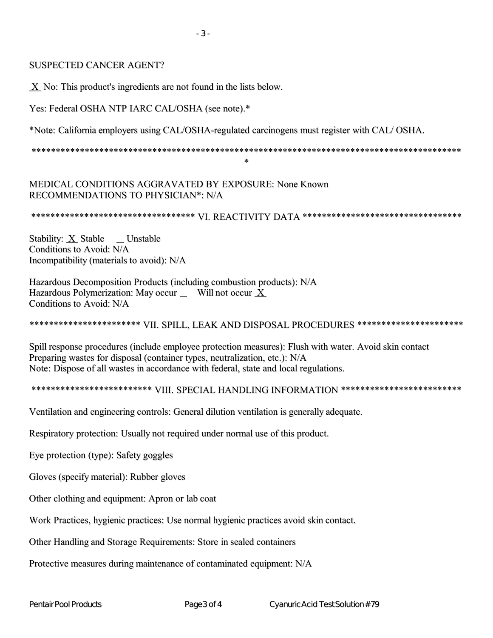X No: This product's ingredients are not found in the lists below.

Yes: Federal OSHA NTP IARC CAL/OSHA (see note).\*

\*Note: California employers using CAL/OSHA-regulated carcinogens must register with CAL/OSHA.

 $\star$ 

MEDICAL CONDITIONS AGGRAVATED BY EXPOSURE: None Known RECOMMENDATIONS TO PHYSICIAN\*: N/A

Stability:  $\underline{X}$  Stable \_\_ Unstable Conditions to Avoid: N/A Incompatibility (materials to avoid): N/A

Hazardous Decomposition Products (including combustion products): N/A Hazardous Polymerization: May occur \_ Will not occur X Conditions to Avoid: N/A

## \*\*\*\*\*\*\*\*\*\*\*\*\*\*\*\*\*\*\*\*\*\*\* VII, SPILL, LEAK AND DISPOSAL PROCEDURES \*\*\*\*\*\*\*\*\*\*\*\*\*\*\*\*\*\*\*\*\*\*

Spill response procedures (include employee protection measures): Flush with water, Avoid skin contact Preparing wastes for disposal (container types, neutralization, etc.): N/A Note: Dispose of all wastes in accordance with federal, state and local regulations.

\*\*\*\*\*\*\*\*\*\*\*\*\*\*\*\*\*\*\*\*\*\*\*\*\* VIII. SPECIAL HANDLING INFORMATION \*\*\*\*\*\*\*\*\*\*\*\*\*\*\*\*\*\*\*\*\*\*\*\*\*

Ventilation and engineering controls: General dilution ventilation is generally adequate.

Respiratory protection: Usually not required under normal use of this product.

Eye protection (type): Safety goggles

Gloves (specify material): Rubber gloves

Other clothing and equipment: Apron or lab coat

Work Practices, hygienic practices: Use normal hygienic practices avoid skin contact.

Other Handling and Storage Requirements: Store in sealed containers

Protective measures during maintenance of contaminated equipment: N/A